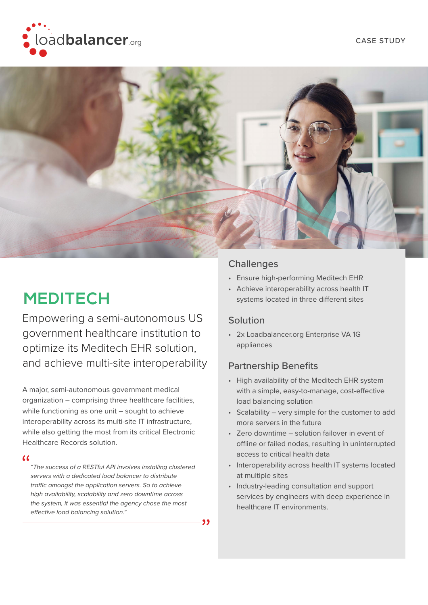



- 99

# **MEDITECH**

Empowering a semi-autonomous US government healthcare institution to optimize its Meditech EHR solution, and achieve multi-site interoperability

A major, semi-autonomous government medical organization – comprising three healthcare facilities, while functioning as one unit - sought to achieve interoperability across its multi-site IT infrastructure, while also getting the most from its critical Electronic Healthcare Records solution.

#### $\alpha$

*"The success of a RESTful API involves installing clustered servers with a dedicated load balancer to distribute traffic amongst the application servers. So to achieve high availability, scalability and zero downtime across the system, it was essential the agency chose the most effective load balancing solution."* 

#### **Challenges**

- Ensure high-performing Meditech EHR
- Achieve interoperability across health IT systems located in three different sites

#### Solution

• 2x Loadbalancer.org Enterprise VA 1G appliances

### Partnership Benefits

- High availability of the Meditech EHR system with a simple, easy-to-manage, cost-effective load balancing solution
- Scalability very simple for the customer to add more servers in the future
- Zero downtime solution failover in event of offline or failed nodes, resulting in uninterrupted access to critical health data
- Interoperability across health IT systems located at multiple sites
- Industry-leading consultation and support services by engineers with deep experience in healthcare IT environments.